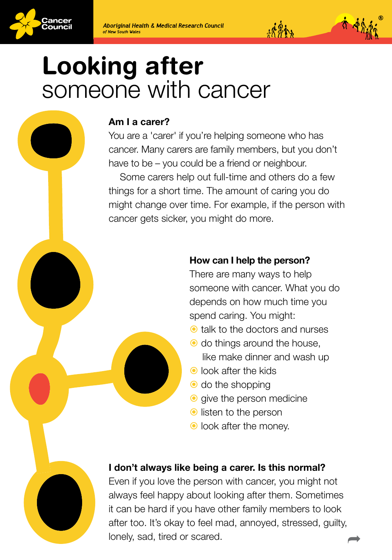

# Looking after someone with cancer

# Am I a carer?

You are a 'carer' if you're helping someone who has cancer. Many carers are family members, but you don't have to be – you could be a friend or neighbour.

Some carers help out full-time and others do a few things for a short time. The amount of caring you do might change over time. For example, if the person with cancer gets sicker, you might do more.

# How can I help the person?

There are many ways to help someone with cancer. What you do depends on how much time you spend caring. You might:

 $14.841$ 

- **O** talk to the doctors and nurses
- $\bullet$  do things around the house, like make dinner and wash up
- **O** look after the kids
- $\bullet$  do the shopping
- **o** give the person medicine
- $\bullet$  listen to the person
- look after the money.

# I don't always like being a carer. Is this normal?

Even if you love the person with cancer, you might not always feel happy about looking after them. Sometimes it can be hard if you have other family members to look after too. It's okay to feel mad, annoyed, stressed, guilty, lonely, sad, tired or scared.